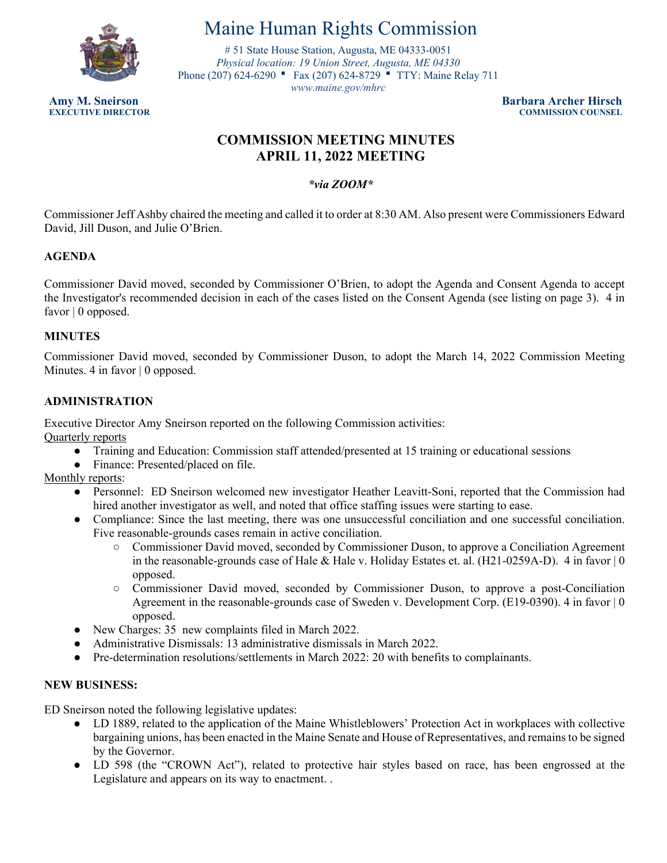

# Maine Human Rights Commission

 Phone (207) 624-6290 ■ Fax (207) 624-8729 ■ TTY: Maine Relay 711 # 51 State House Station, Augusta, ME 04333-0051 *Physical location: 19 Union Street, Augusta, ME 04330 <www.maine.gov/mhrc>* 

**Amy M. Sneirson Barbara Archer Hirsch COMMISSION COUNSEL** 

# **COMMISSION MEETING MINUTES APRIL 11, 2022 MEETING**

*\*via ZOOM\**

Commissioner Jeff Ashby chaired the meeting and called it to order at 8:30 AM. Also present were Commissioners Edward David, Jill Duson, and Julie O'Brien.

# **AGENDA**

Commissioner David moved, seconded by Commissioner O'Brien, to adopt the Agenda and Consent Agenda to accept the Investigator's recommended decision in each of the cases listed on the Consent Agenda (see listing on page 3). 4 in favor | 0 opposed.

#### **MINUTES**

Commissioner David moved, seconded by Commissioner Duson, to adopt the March 14, 2022 Commission Meeting Minutes. 4 in favor | 0 opposed.

# **ADMINISTRATION**

Executive Director Amy Sneirson reported on the following Commission activities:

Quarterly reports

- Training and Education: Commission staff attended/presented at 15 training or educational sessions
- Finance: Presented/placed on file.

Monthly reports:

- Personnel: ED Sneirson welcomed new investigator Heather Leavitt-Soni, reported that the Commission had hired another investigator as well, and noted that office staffing issues were starting to ease.
- Compliance: Since the last meeting, there was one unsuccessful conciliation and one successful conciliation. Five reasonable-grounds cases remain in active conciliation.
	- Commissioner David moved, seconded by Commissioner Duson, to approve a Conciliation Agreement in the reasonable-grounds case of Hale & Hale v. Holiday Estates et. al. (H21-0259A-D). 4 in favor | 0 opposed.
	- Commissioner David moved, seconded by Commissioner Duson, to approve a post-Conciliation Agreement in the reasonable-grounds case of Sweden v. Development Corp. (E19-0390). 4 in favor | 0 opposed.
- New Charges: 35 new complaints filed in March 2022.
- Administrative Dismissals: 13 administrative dismissals in March 2022.
- Pre-determination resolutions/settlements in March 2022: 20 with benefits to complainants.

#### **NEW BUSINESS:**

ED Sneirson noted the following legislative updates:

- LD 1889, related to the application of the Maine Whistleblowers' Protection Act in workplaces with collective bargaining unions, has been enacted in the Maine Senate and House of Representatives, and remains to be signed by the Governor.
- LD 598 (the "CROWN Act"), related to protective hair styles based on race, has been engrossed at the Legislature and appears on its way to enactment. .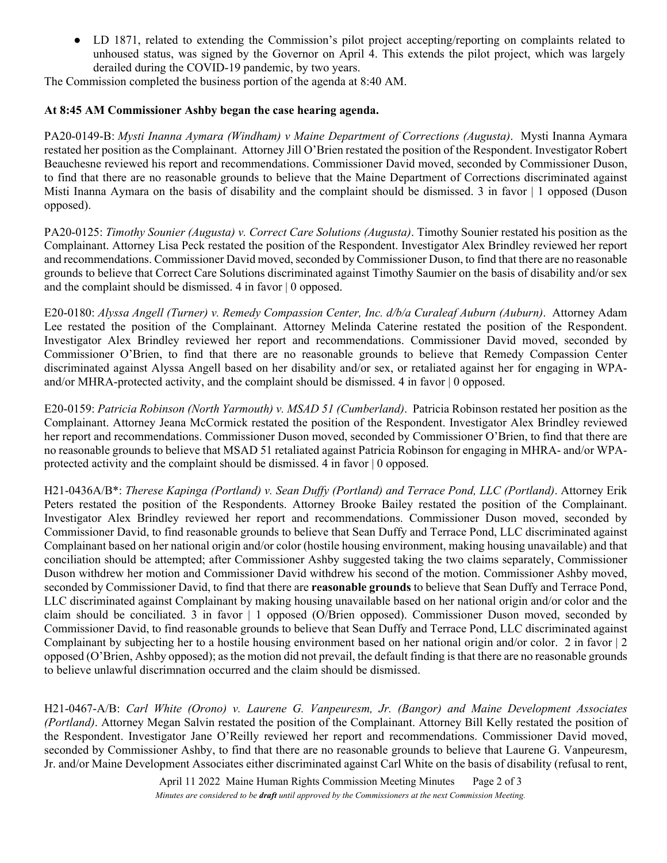● LD 1871, related to extending the Commission's pilot project accepting/reporting on complaints related to unhoused status, was signed by the Governor on April 4. This extends the pilot project, which was largely derailed during the COVID-19 pandemic, by two years.

The Commission completed the business portion of the agenda at 8:40 AM.

#### **At 8:45 AM Commissioner Ashby began the case hearing agenda.**

PA20-0149-B: *Mysti Inanna Aymara (Windham) v Maine Department of Corrections (Augusta)*. Mysti Inanna Aymara restated her position as the Complainant. Attorney Jill O'Brien restated the position of the Respondent. Investigator Robert Beauchesne reviewed his report and recommendations. Commissioner David moved, seconded by Commissioner Duson, to find that there are no reasonable grounds to believe that the Maine Department of Corrections discriminated against Misti Inanna Aymara on the basis of disability and the complaint should be dismissed. 3 in favor | 1 opposed (Duson opposed).

PA20-0125: *Timothy Sounier (Augusta) v. Correct Care Solutions (Augusta)*. Timothy Sounier restated his position as the Complainant. Attorney Lisa Peck restated the position of the Respondent. Investigator Alex Brindley reviewed her report and recommendations. Commissioner David moved, seconded by Commissioner Duson, to find that there are no reasonable grounds to believe that Correct Care Solutions discriminated against Timothy Saumier on the basis of disability and/or sex and the complaint should be dismissed. 4 in favor | 0 opposed.

E20-0180: *Alyssa Angell (Turner) v. Remedy Compassion Center, Inc. d/b/a Curaleaf Auburn (Auburn)*. Attorney Adam Lee restated the position of the Complainant. Attorney Melinda Caterine restated the position of the Respondent. Investigator Alex Brindley reviewed her report and recommendations. Commissioner David moved, seconded by Commissioner O'Brien, to find that there are no reasonable grounds to believe that Remedy Compassion Center discriminated against Alyssa Angell based on her disability and/or sex, or retaliated against her for engaging in WPAand/or MHRA-protected activity, and the complaint should be dismissed. 4 in favor | 0 opposed.

E20-0159: *Patricia Robinson (North Yarmouth) v. MSAD 51 (Cumberland)*. Patricia Robinson restated her position as the Complainant. Attorney Jeana McCormick restated the position of the Respondent. Investigator Alex Brindley reviewed her report and recommendations. Commissioner Duson moved, seconded by Commissioner O'Brien, to find that there are no reasonable grounds to believe that MSAD 51 retaliated against Patricia Robinson for engaging in MHRA- and/or WPAprotected activity and the complaint should be dismissed. 4 in favor | 0 opposed.

 Investigator Alex Brindley reviewed her report and recommendations. Commissioner Duson moved, seconded by H21-0436A/B\*: *Therese Kapinga (Portland) v. Sean Duffy (Portland) and Terrace Pond, LLC (Portland)*. Attorney Erik Peters restated the position of the Respondents. Attorney Brooke Bailey restated the position of the Complainant. Commissioner David, to find reasonable grounds to believe that Sean Duffy and Terrace Pond, LLC discriminated against Complainant based on her national origin and/or color (hostile housing environment, making housing unavailable) and that conciliation should be attempted; after Commissioner Ashby suggested taking the two claims separately, Commissioner Duson withdrew her motion and Commissioner David withdrew his second of the motion. Commissioner Ashby moved, seconded by Commissioner David, to find that there are **reasonable grounds** to believe that Sean Duffy and Terrace Pond, LLC discriminated against Complainant by making housing unavailable based on her national origin and/or color and the claim should be conciliated. 3 in favor | 1 opposed (O/Brien opposed). Commissioner Duson moved, seconded by Commissioner David, to find reasonable grounds to believe that Sean Duffy and Terrace Pond, LLC discriminated against Complainant by subjecting her to a hostile housing environment based on her national origin and/or color. 2 in favor | 2 opposed (O'Brien, Ashby opposed); as the motion did not prevail, the default finding is that there are no reasonable grounds to believe unlawful discrimnation occurred and the claim should be dismissed.

H21-0467-A/B: *Carl White (Orono) v. Laurene G. Vanpeuresm, Jr. (Bangor) and Maine Development Associates (Portland)*. Attorney Megan Salvin restated the position of the Complainant. Attorney Bill Kelly restated the position of the Respondent. Investigator Jane O'Reilly reviewed her report and recommendations. Commissioner David moved, seconded by Commissioner Ashby, to find that there are no reasonable grounds to believe that Laurene G. Vanpeuresm, Jr. and/or Maine Development Associates either discriminated against Carl White on the basis of disability (refusal to rent,